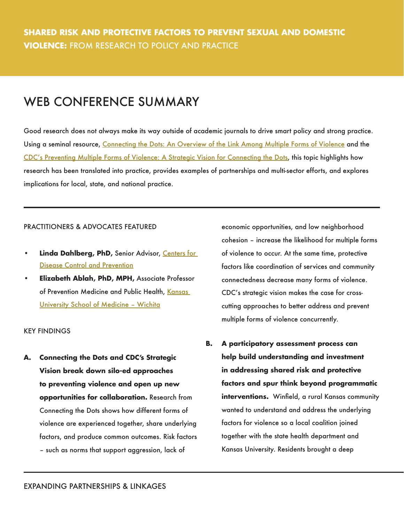## WEB CONFERENCE SUMMARY

Good research does not always make its way outside of academic journals to drive smart policy and strong practice. Using a seminal resource, [Connecting the Dots: An Overview of the Link Among Multiple Forms of Violence](http://www.cdc.gov/violenceprevention/pub/connecting_dots.html) and the [CDC's Preventing Multiple Forms of Violence: A Strategic Vision for Connecting the Dots](https://www.cdc.gov/violenceprevention/overview/strategicvision.html), this topic highlights how research has been translated into practice, provides examples of partnerships and multi-sector efforts, and explores implications for local, state, and national practice.

## PRACTITIONERS & ADVOCATES FEATURED

- **Linda Dahlberg, PhD, Senior Advisor, Centers for** [Disease Control and Prevention](http://www.cdc.gov/)
- **Elizabeth Ablah, PhD, MPH,** Associate Professor of Prevention Medicine and Public Health, [Kansas](http://wichita.kumc.edu/)  [University School of Medicine – Wichita](http://wichita.kumc.edu/)

## KEY FINDINGS

**A. Connecting the Dots and CDC's Strategic Vision break down silo-ed approaches to preventing violence and open up new opportunities for collaboration.** Research from Connecting the Dots shows how different forms of violence are experienced together, share underlying factors, and produce common outcomes. Risk factors – such as norms that support aggression, lack of

economic opportunities, and low neighborhood cohesion – increase the likelihood for multiple forms of violence to occur. At the same time, protective factors like coordination of services and community connectedness decrease many forms of violence. CDC's strategic vision makes the case for crosscutting approaches to better address and prevent multiple forms of violence concurrently.

**B. A participatory assessment process can help build understanding and investment in addressing shared risk and protective factors and spur think beyond programmatic interventions.** Winfield, a rural Kansas community wanted to understand and address the underlying factors for violence so a local coalition joined together with the state health department and Kansas University. Residents brought a deep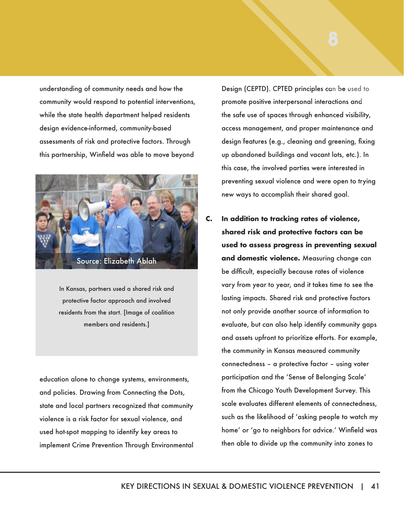understanding of community needs and how the community would respond to potential interventions, while the state health department helped residents design evidence-informed, community-based assessments of risk and protective factors. Through this partnership, Winfield was able to move beyond



In Kansas, partners used a shared risk and protective factor approach and involved residents from the start. [Image of coalition members and residents.]

education alone to change systems, environments, and policies. Drawing from Connecting the Dots, state and local partners recognized that community violence is a risk factor for sexual violence, and used hot-spot mapping to identify key areas to implement Crime Prevention Through Environmental

Design (CEPTD). CPTED principles can be used to promote positive interpersonal interactions and the safe use of spaces through enhanced visibility, access management, and proper maintenance and design features (e.g., cleaning and greening, fixing up abandoned buildings and vacant lots, etc.). In this case, the involved parties were interested in preventing sexual violence and were open to trying new ways to accomplish their shared goal.

**C. In addition to tracking rates of violence, shared risk and protective factors can be used to assess progress in preventing sexual and domestic violence.** Measuring change can be difficult, especially because rates of violence vary from year to year, and it takes time to see the lasting impacts. Shared risk and protective factors not only provide another source of information to evaluate, but can also help identify community gaps and assets upfront to prioritize efforts. For example, the community in Kansas measured community connectedness – a protective factor – using voter participation and the 'Sense of Belonging Scale' from the Chicago Youth Development Survey. This scale evaluates different elements of connectedness, such as the likelihood of 'asking people to watch my home' or 'go to neighbors for advice.' Winfield was then able to divide up the community into zones to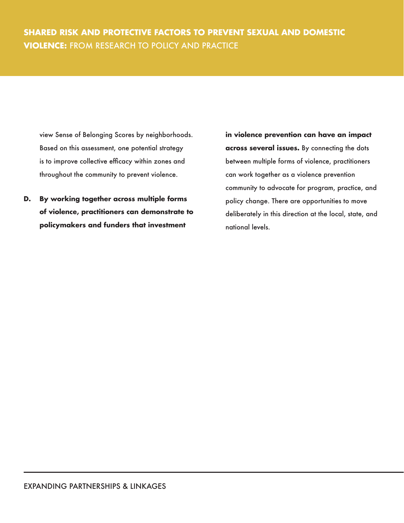view Sense of Belonging Scores by neighborhoods. Based on this assessment, one potential strategy is to improve collective efficacy within zones and throughout the community to prevent violence.

**D. By working together across multiple forms of violence, practitioners can demonstrate to policymakers and funders that investment** 

**in violence prevention can have an impact across several issues.** By connecting the dots between multiple forms of violence, practitioners can work together as a violence prevention community to advocate for program, practice, and policy change. There are opportunities to move deliberately in this direction at the local, state, and national levels.